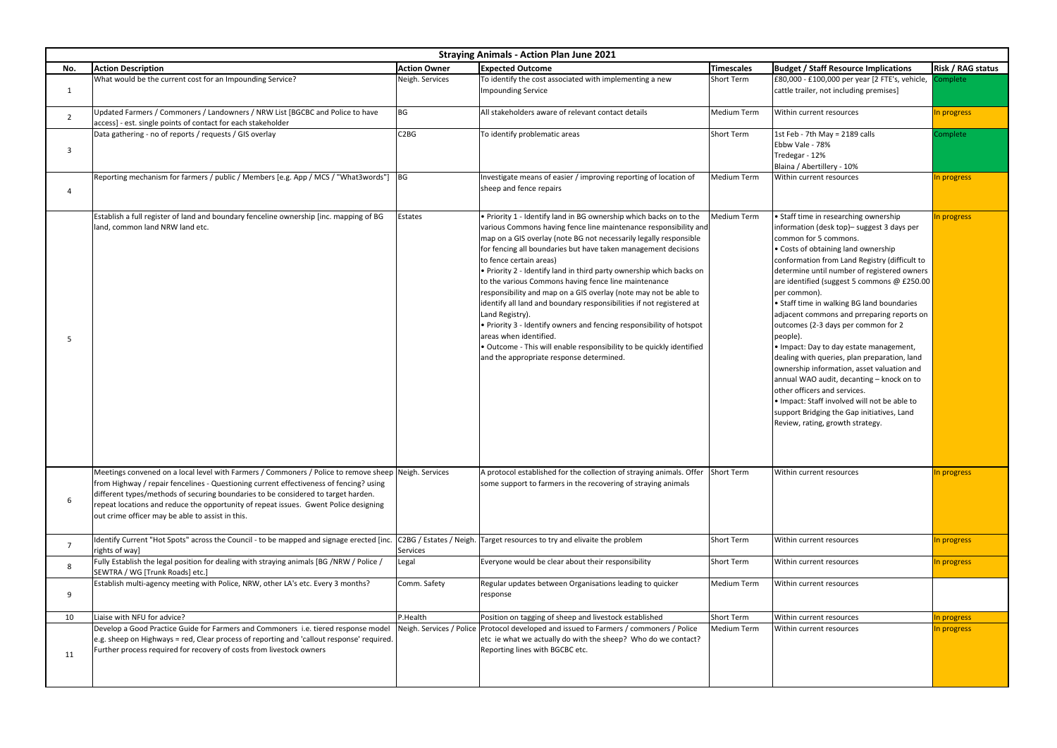| <b>Straying Animals - Action Plan June 2021</b> |                                                                                                                                                                                                                                                                                                                                                                                                                                 |                     |                                                                                                                                                                                                                                                                                                                                                                                                                                                                                                                                                                                                                                                                                                                                                                                                                                             |                    |                                                                                                                                                                                                                                                                                                                                                                                                                                                                                                                                                                                                                                                                                                                                                                                                                             |                          |  |  |  |  |
|-------------------------------------------------|---------------------------------------------------------------------------------------------------------------------------------------------------------------------------------------------------------------------------------------------------------------------------------------------------------------------------------------------------------------------------------------------------------------------------------|---------------------|---------------------------------------------------------------------------------------------------------------------------------------------------------------------------------------------------------------------------------------------------------------------------------------------------------------------------------------------------------------------------------------------------------------------------------------------------------------------------------------------------------------------------------------------------------------------------------------------------------------------------------------------------------------------------------------------------------------------------------------------------------------------------------------------------------------------------------------------|--------------------|-----------------------------------------------------------------------------------------------------------------------------------------------------------------------------------------------------------------------------------------------------------------------------------------------------------------------------------------------------------------------------------------------------------------------------------------------------------------------------------------------------------------------------------------------------------------------------------------------------------------------------------------------------------------------------------------------------------------------------------------------------------------------------------------------------------------------------|--------------------------|--|--|--|--|
| No.                                             | <b>Action Description</b>                                                                                                                                                                                                                                                                                                                                                                                                       | <b>Action Owner</b> | <b>Expected Outcome</b>                                                                                                                                                                                                                                                                                                                                                                                                                                                                                                                                                                                                                                                                                                                                                                                                                     | Timescales         | <b>Budget / Staff Resource Implications</b>                                                                                                                                                                                                                                                                                                                                                                                                                                                                                                                                                                                                                                                                                                                                                                                 | <b>Risk / RAG status</b> |  |  |  |  |
|                                                 | What would be the current cost for an Impounding Service?                                                                                                                                                                                                                                                                                                                                                                       | Neigh. Services     | To identify the cost associated with implementing a new<br><b>Impounding Service</b>                                                                                                                                                                                                                                                                                                                                                                                                                                                                                                                                                                                                                                                                                                                                                        | <b>Short Term</b>  | £80,000 - £100,000 per year [2 FTE's, vehicle,<br>cattle trailer, not including premises]                                                                                                                                                                                                                                                                                                                                                                                                                                                                                                                                                                                                                                                                                                                                   | Complete                 |  |  |  |  |
|                                                 | Updated Farmers / Commoners / Landowners / NRW List [BGCBC and Police to have<br>access] - est. single points of contact for each stakeholder                                                                                                                                                                                                                                                                                   | <b>BG</b>           | All stakeholders aware of relevant contact details                                                                                                                                                                                                                                                                                                                                                                                                                                                                                                                                                                                                                                                                                                                                                                                          | <b>Medium Term</b> | Within current resources                                                                                                                                                                                                                                                                                                                                                                                                                                                                                                                                                                                                                                                                                                                                                                                                    | In progress              |  |  |  |  |
|                                                 | Data gathering - no of reports / requests / GIS overlay                                                                                                                                                                                                                                                                                                                                                                         | C <sub>2</sub> BG   | To identify problematic areas                                                                                                                                                                                                                                                                                                                                                                                                                                                                                                                                                                                                                                                                                                                                                                                                               | <b>Short Term</b>  | 1st Feb - 7th May = 2189 calls<br>Ebbw Vale - 78%<br>Tredegar - 12%<br>Blaina / Abertillery - 10%                                                                                                                                                                                                                                                                                                                                                                                                                                                                                                                                                                                                                                                                                                                           | Complete                 |  |  |  |  |
|                                                 | Reporting mechanism for farmers / public / Members [e.g. App / MCS / "What3words"]                                                                                                                                                                                                                                                                                                                                              | BG                  | Investigate means of easier / improving reporting of location of<br>sheep and fence repairs                                                                                                                                                                                                                                                                                                                                                                                                                                                                                                                                                                                                                                                                                                                                                 | Medium Term        | Within current resources                                                                                                                                                                                                                                                                                                                                                                                                                                                                                                                                                                                                                                                                                                                                                                                                    | In progress              |  |  |  |  |
|                                                 | Establish a full register of land and boundary fenceline ownership [inc. mapping of BG<br>land, common land NRW land etc.                                                                                                                                                                                                                                                                                                       | Estates             | . Priority 1 - Identify land in BG ownership which backs on to the<br>various Commons having fence line maintenance responsibility and<br>map on a GIS overlay (note BG not necessarily legally responsible<br>for fencing all boundaries but have taken management decisions<br>to fence certain areas)<br>• Priority 2 - Identify land in third party ownership which backs on<br>to the various Commons having fence line maintenance<br>responsibility and map on a GIS overlay (note may not be able to<br>identify all land and boundary responsibilities if not registered at<br>Land Registry).<br>$\cdot$ Priority 3 - Identify owners and fencing responsibility of hotspot<br>areas when identified.<br>$\bullet$ Outcome - This will enable responsibility to be quickly identified<br>and the appropriate response determined. | Medium Term        | • Staff time in researching ownership<br>information (desk top)- suggest 3 days per<br>common for 5 commons.<br>• Costs of obtaining land ownership<br>conformation from Land Registry (difficult to<br>determine until number of registered owners<br>are identified (suggest 5 commons @ £250.00<br>per common).<br>• Staff time in walking BG land boundaries<br>adjacent commons and prreparing reports on<br>outcomes (2-3 days per common for 2<br>people).<br>Io Impact: Day to day estate management,<br>dealing with queries, plan preparation, land<br>ownership information, asset valuation and<br>annual WAO audit, decanting - knock on to<br>lother officers and services.<br>. Impact: Staff involved will not be able to<br>support Bridging the Gap initiatives, Land<br>Review, rating, growth strategy. | In progress              |  |  |  |  |
|                                                 | Meetings convened on a local level with Farmers / Commoners / Police to remove sheep Neigh. Services<br>from Highway / repair fencelines - Questioning current effectiveness of fencing? using<br>different types/methods of securing boundaries to be considered to target harden.<br>repeat locations and reduce the opportunity of repeat issues. Gwent Police designing<br>out crime officer may be able to assist in this. |                     | A protocol established for the collection of straying animals. Offer<br>some support to farmers in the recovering of straying animals                                                                                                                                                                                                                                                                                                                                                                                                                                                                                                                                                                                                                                                                                                       | <b>Short Term</b>  | Within current resources                                                                                                                                                                                                                                                                                                                                                                                                                                                                                                                                                                                                                                                                                                                                                                                                    | In progress              |  |  |  |  |
|                                                 | Identify Current "Hot Spots" across the Council - to be mapped and signage erected [inc.<br>rights of way]                                                                                                                                                                                                                                                                                                                      | <b>Services</b>     | C2BG / Estates / Neigh. Target resources to try and elivaite the problem                                                                                                                                                                                                                                                                                                                                                                                                                                                                                                                                                                                                                                                                                                                                                                    | <b>Short Term</b>  | Within current resources                                                                                                                                                                                                                                                                                                                                                                                                                                                                                                                                                                                                                                                                                                                                                                                                    | In progress              |  |  |  |  |
|                                                 | Fully Establish the legal position for dealing with straying animals [BG /NRW / Police /<br>SEWTRA / WG [Trunk Roads] etc.]                                                                                                                                                                                                                                                                                                     | Legal               | Everyone would be clear about their responsibility                                                                                                                                                                                                                                                                                                                                                                                                                                                                                                                                                                                                                                                                                                                                                                                          | <b>Short Term</b>  | Within current resources                                                                                                                                                                                                                                                                                                                                                                                                                                                                                                                                                                                                                                                                                                                                                                                                    | In progress              |  |  |  |  |
| q                                               | Establish multi-agency meeting with Police, NRW, other LA's etc. Every 3 months?                                                                                                                                                                                                                                                                                                                                                | Comm. Safety        | Regular updates between Organisations leading to quicker<br>response                                                                                                                                                                                                                                                                                                                                                                                                                                                                                                                                                                                                                                                                                                                                                                        | Medium Term        | Within current resources                                                                                                                                                                                                                                                                                                                                                                                                                                                                                                                                                                                                                                                                                                                                                                                                    |                          |  |  |  |  |
| 10                                              | Liaise with NFU for advice?                                                                                                                                                                                                                                                                                                                                                                                                     | P.Health            | Position on tagging of sheep and livestock established                                                                                                                                                                                                                                                                                                                                                                                                                                                                                                                                                                                                                                                                                                                                                                                      | <b>Short Term</b>  | Within current resources                                                                                                                                                                                                                                                                                                                                                                                                                                                                                                                                                                                                                                                                                                                                                                                                    | In progress              |  |  |  |  |
| 11                                              | Develop a Good Practice Guide for Farmers and Commoners i.e. tiered response model<br>e.g. sheep on Highways = red, Clear process of reporting and 'callout response' required.<br>Further process required for recovery of costs from livestock owners                                                                                                                                                                         |                     | Neigh. Services / Police   Protocol developed and issued to Farmers / commoners / Police<br>etc ie what we actually do with the sheep? Who do we contact?<br>Reporting lines with BGCBC etc.                                                                                                                                                                                                                                                                                                                                                                                                                                                                                                                                                                                                                                                | Medium Term        | Within current resources                                                                                                                                                                                                                                                                                                                                                                                                                                                                                                                                                                                                                                                                                                                                                                                                    | In progress              |  |  |  |  |